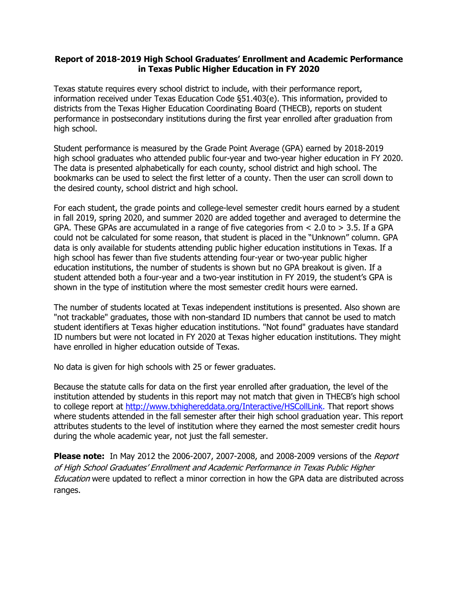## **Report of 2018-2019 High School Graduates' Enrollment and Academic Performance in Texas Public Higher Education in FY 2020**

Texas statute requires every school district to include, with their performance report, information received under Texas Education Code §51.403(e). This information, provided to districts from the Texas Higher Education Coordinating Board (THECB), reports on student performance in postsecondary institutions during the first year enrolled after graduation from high school.

Student performance is measured by the Grade Point Average (GPA) earned by 2018-2019 high school graduates who attended public four-year and two-year higher education in FY 2020. The data is presented alphabetically for each county, school district and high school. The bookmarks can be used to select the first letter of a county. Then the user can scroll down to the desired county, school district and high school.

For each student, the grade points and college-level semester credit hours earned by a student in fall 2019, spring 2020, and summer 2020 are added together and averaged to determine the GPA. These GPAs are accumulated in a range of five categories from < 2.0 to > 3.5. If a GPA could not be calculated for some reason, that student is placed in the "Unknown" column. GPA data is only available for students attending public higher education institutions in Texas. If a high school has fewer than five students attending four-year or two-year public higher education institutions, the number of students is shown but no GPA breakout is given. If a student attended both a four-year and a two-year institution in FY 2019, the student's GPA is shown in the type of institution where the most semester credit hours were earned.

The number of students located at Texas independent institutions is presented. Also shown are "not trackable" graduates, those with non-standard ID numbers that cannot be used to match student identifiers at Texas higher education institutions. "Not found" graduates have standard ID numbers but were not located in FY 2020 at Texas higher education institutions. They might have enrolled in higher education outside of Texas.

No data is given for high schools with 25 or fewer graduates.

Because the statute calls for data on the first year enrolled after graduation, the level of the institution attended by students in this report may not match that given in THECB's high school to college report at http://www.txhighereddata.org/Interactive/HSCollLink. That report shows where students attended in the fall semester after their high school graduation year. This report attributes students to the level of institution where they earned the most semester credit hours during the whole academic year, not just the fall semester.

**Please note:** In May 2012 the 2006-2007, 2007-2008, and 2008-2009 versions of the Report of High School Graduates' Enrollment and Academic Performance in Texas Public Higher **Education** were updated to reflect a minor correction in how the GPA data are distributed across ranges.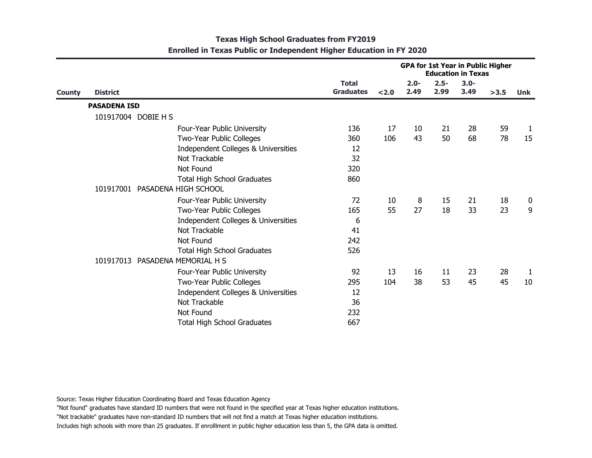|               |                     |                                     | <b>GPA for 1st Year in Public Higher</b><br><b>Education in Texas</b> |       |                 |                 |                 |      |              |
|---------------|---------------------|-------------------------------------|-----------------------------------------------------------------------|-------|-----------------|-----------------|-----------------|------|--------------|
| <b>County</b> | <b>District</b>     |                                     | <b>Total</b><br><b>Graduates</b>                                      | < 2.0 | $2.0 -$<br>2.49 | $2.5 -$<br>2.99 | $3.0 -$<br>3.49 | >3.5 | <b>Unk</b>   |
|               | <b>PASADENA ISD</b> |                                     |                                                                       |       |                 |                 |                 |      |              |
|               |                     | 101917004 DOBIE H S                 |                                                                       |       |                 |                 |                 |      |              |
|               |                     | Four-Year Public University         | 136                                                                   | 17    | 10              | 21              | 28              | 59   | $\mathbf{1}$ |
|               |                     | Two-Year Public Colleges            | 360                                                                   | 106   | 43              | 50              | 68              | 78   | 15           |
|               |                     | Independent Colleges & Universities | 12                                                                    |       |                 |                 |                 |      |              |
|               |                     | Not Trackable                       | 32                                                                    |       |                 |                 |                 |      |              |
|               |                     | Not Found                           | 320                                                                   |       |                 |                 |                 |      |              |
|               |                     | <b>Total High School Graduates</b>  | 860                                                                   |       |                 |                 |                 |      |              |
|               |                     | 101917001 PASADENA HIGH SCHOOL      |                                                                       |       |                 |                 |                 |      |              |
|               |                     | Four-Year Public University         | 72                                                                    | 10    | 8               | 15              | 21              | 18   | 0            |
|               |                     | Two-Year Public Colleges            | 165                                                                   | 55    | 27              | 18              | 33              | 23   | 9            |
|               |                     | Independent Colleges & Universities | 6                                                                     |       |                 |                 |                 |      |              |
|               |                     | Not Trackable                       | 41                                                                    |       |                 |                 |                 |      |              |
|               |                     | Not Found                           | 242                                                                   |       |                 |                 |                 |      |              |
|               |                     | <b>Total High School Graduates</b>  | 526                                                                   |       |                 |                 |                 |      |              |
|               |                     | 101917013 PASADENA MEMORIAL H S     |                                                                       |       |                 |                 |                 |      |              |
|               |                     | Four-Year Public University         | 92                                                                    | 13    | 16              | 11              | 23              | 28   | $\mathbf{1}$ |
|               |                     | Two-Year Public Colleges            | 295                                                                   | 104   | 38              | 53              | 45              | 45   | 10           |
|               |                     | Independent Colleges & Universities | 12                                                                    |       |                 |                 |                 |      |              |
|               |                     | Not Trackable                       | 36                                                                    |       |                 |                 |                 |      |              |
|               |                     | Not Found                           | 232                                                                   |       |                 |                 |                 |      |              |
|               |                     | <b>Total High School Graduates</b>  | 667                                                                   |       |                 |                 |                 |      |              |

## **Texas High School Graduates from FY2019 Enrolled in Texas Public or Independent Higher Education in FY 2020**

Source: Texas Higher Education Coordinating Board and Texas Education Agency

"Not found" graduates have standard ID numbers that were not found in the specified year at Texas higher education institutions.

"Not trackable" graduates have non-standard ID numbers that will not find a match at Texas higher education institutions.

Includes high schools with more than 25 graduates. If enrolllment in public higher education less than 5, the GPA data is omitted.